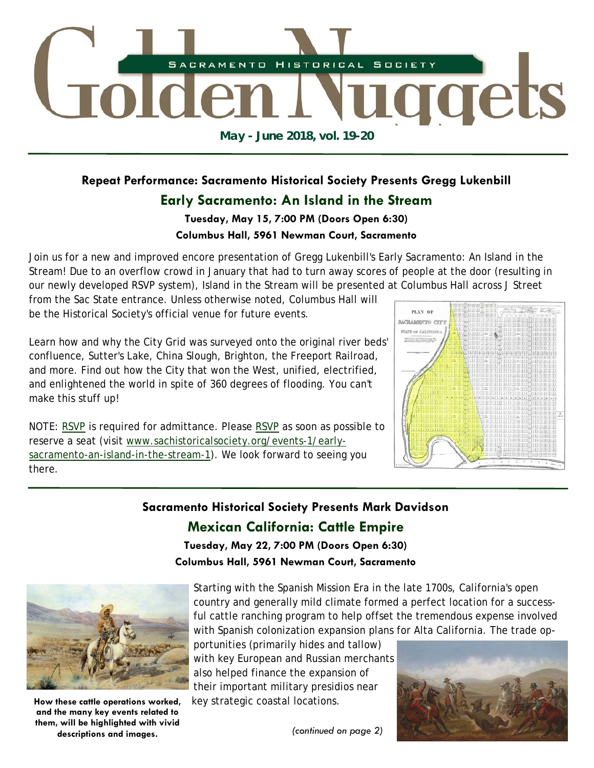

# **Repeat Performance: Sacramento Historical Society Presents Gregg Lukenbill**

## **Early Sacramento: An Island in the Stream**

#### **Tuesday, May 15, 7:00 PM (Doors Open 6:30)**

#### **Columbus Hall, 5961 Newman Court, Sacramento**

Join us for a new and improved encore presentation of Gregg Lukenbill's Early Sacramento: An Island in the Stream! Due to an overflow crowd in January that had to turn away scores of people at the door (resulting in our newly developed RSVP system), Island in the Stream will be presented at Columbus Hall across J Street

from the Sac State entrance. Unless otherwise noted, Columbus Hall will be the Historical Society's official venue for future events.

Learn how and why the City Grid was surveyed onto the original river beds' confluence, Sutter's Lake, China Slough, Brighton, the Freeport Railroad, and more. Find out how the City that won the West, unified, electrified, and enlightened the world in spite of 360 degrees of flooding. You can't make this stuff up!

NOTE: RSVP is required for admittance. Please RSVP as soon as possible to reserve a seat (visit www.sachistoricalsociety.org/events-1/earlysacramento-an-island-in-the-stream-1). We look forward to seeing you there.

# PLAY OF SACRAMENTO CIT STATE OF CALIFORN

## **Sacramento Historical Society Presents Mark Davidson**

# **Mexican California: Cattle Empire**

**Tuesday, May 22, 7:00 PM (Doors Open 6:30)** 

**Columbus Hall, 5961 Newman Court, Sacramento** 



**How these cattle operations worked, and the many key events related to them, will be highlighted with vivid descriptions and images.** 

Starting with the Spanish Mission Era in the late 1700s, California's open country and generally mild climate formed a perfect location for a successful cattle ranching program to help offset the tremendous expense involved with Spanish colonization expansion plans for Alta California. The trade op-

portunities (primarily hides and tallow) with key European and Russian merchants also helped finance the expansion of their important military presidios near key strategic coastal locations.

*(continued on page 2)* 

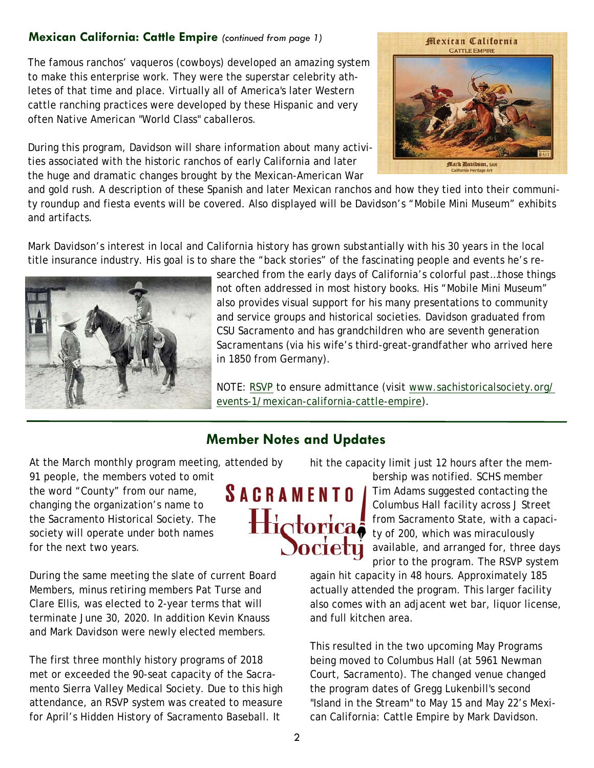#### **Mexican California: Cattle Empire** *(continued from page 1)*

The famous ranchos' vaqueros (cowboys) developed an amazing system to make this enterprise work. They were the superstar celebrity athletes of that time and place. Virtually all of America's later Western cattle ranching practices were developed by these Hispanic and very often Native American "World Class" caballeros.

During this program, Davidson will share information about many activities associated with the historic ranchos of early California and later the huge and dramatic changes brought by the Mexican-American War



and gold rush. A description of these Spanish and later Mexican ranchos and how they tied into their community roundup and fiesta events will be covered. Also displayed will be Davidson's "Mobile Mini Museum" exhibits and artifacts.

Mark Davidson's interest in local and California history has grown substantially with his 30 years in the local title insurance industry. His goal is to share the "back stories" of the fascinating people and events he's re-



searched from the early days of California's colorful past…those things not often addressed in most history books. His "Mobile Mini Museum" also provides visual support for his many presentations to community and service groups and historical societies. Davidson graduated from CSU Sacramento and has grandchildren who are seventh generation Sacramentans (via his wife's third-great-grandfather who arrived here in 1850 from Germany).

NOTE: RSVP to ensure admittance (visit www.sachistoricalsociety.org/ events-1/mexican-california-cattle-empire).

# **Member Notes and Updates**

At the March monthly program meeting, attended by

91 people, the members voted to omit the word "County" from our name, changing the organization's name to the Sacramento Historical Society. The society will operate under both names for the next two years.

During the same meeting the slate of current Board Members, minus retiring members Pat Turse and Clare Ellis, was elected to 2-year terms that will terminate June 30, 2020. In addition Kevin Knauss and Mark Davidson were newly elected members.

The first three monthly history programs of 2018 met or exceeded the 90-seat capacity of the Sacramento Sierra Valley Medical Society. Due to this high attendance, an RSVP system was created to measure for April's Hidden History of Sacramento Baseball. It



hit the capacity limit just 12 hours after the mem-

bership was notified. SCHS member Tim Adams suggested contacting the Columbus Hall facility across J Street from Sacramento State, with a capacity of 200, which was miraculously available, and arranged for, three days prior to the program. The RSVP system

again hit capacity in 48 hours. Approximately 185 actually attended the program. This larger facility also comes with an adjacent wet bar, liquor license, and full kitchen area.

This resulted in the two upcoming May Programs being moved to Columbus Hall (at 5961 Newman Court, Sacramento). The changed venue changed the program dates of Gregg Lukenbill's second "Island in the Stream" to May 15 and May 22's Mexican California: Cattle Empire by Mark Davidson.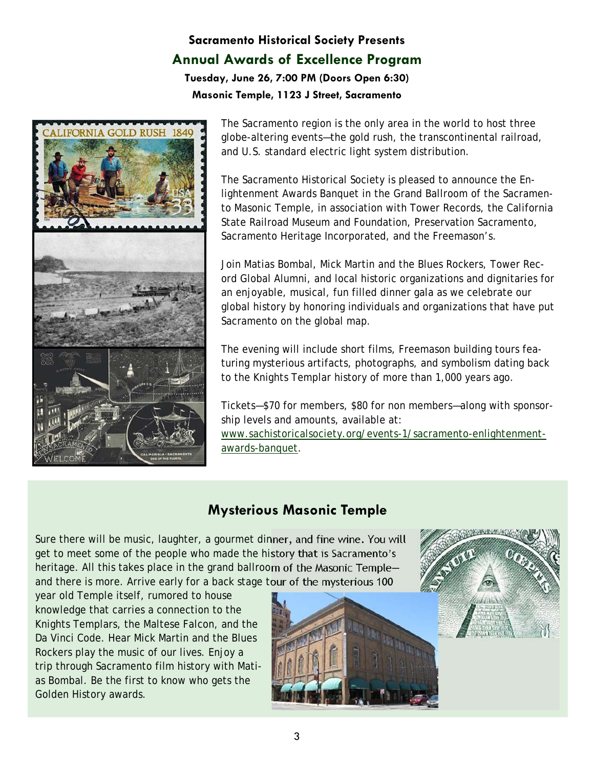# **Sacramento Historical Society Presents Annual Awards of Excellence Program**

**Tuesday, June 26, 7:00 PM (Doors Open 6:30) Masonic Temple, 1123 J Street, Sacramento** 



The Sacramento region is the only area in the world to host three globe-altering events—the gold rush, the transcontinental railroad, and U.S. standard electric light system distribution.

The Sacramento Historical Society is pleased to announce the Enlightenment Awards Banquet in the Grand Ballroom of the Sacramento Masonic Temple, in association with Tower Records, the California State Railroad Museum and Foundation, Preservation Sacramento, Sacramento Heritage Incorporated, and the Freemason's.

Join Matias Bombal, Mick Martin and the Blues Rockers, Tower Record Global Alumni, and local historic organizations and dignitaries for an enjoyable, musical, fun filled dinner gala as we celebrate our global history by honoring individuals and organizations that have put Sacramento on the global map.

The evening will include short films, Freemason building tours featuring mysterious artifacts, photographs, and symbolism dating back to the Knights Templar history of more than 1,000 years ago.

Tickets—\$70 for members, \$80 for non members—along with sponsorship levels and amounts, available at: www.sachistoricalsociety.org/events-1/sacramento-enlightenmentawards-banquet.

# **Mysterious Masonic Temple**

Sure there will be music, laughter, a gourmet dinner, and fine wine. You will get to meet some of the people who made the history that is Sacramento's heritage. All this takes place in the grand ballroom of the Masonic Temple and there is more. Arrive early for a back stage tour of the mysterious 100

year old Temple itself, rumored to house knowledge that carries a connection to the Knights Templars, the Maltese Falcon, and the Da Vinci Code. Hear Mick Martin and the Blues Rockers play the music of our lives. Enjoy a trip through Sacramento film history with Matias Bombal. Be the first to know who gets the Golden History awards.